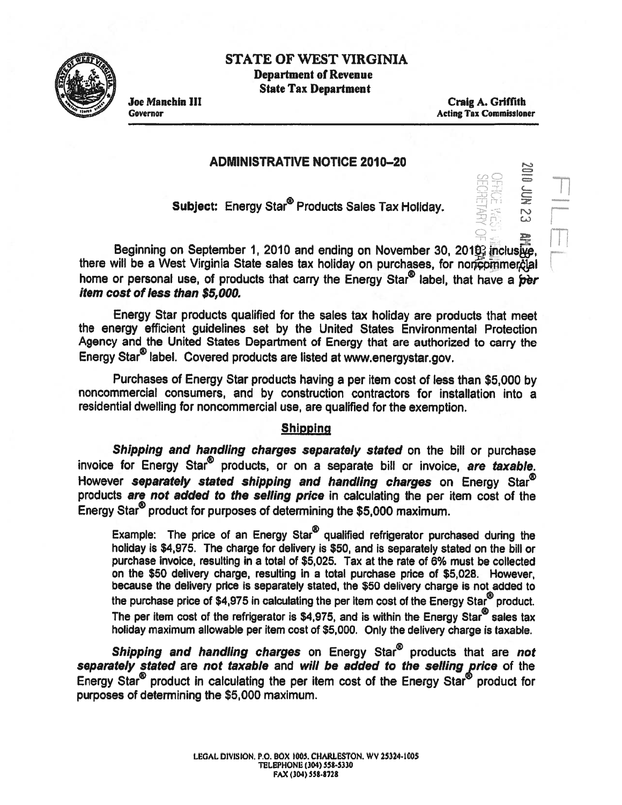

## STATE OF WEST VIRGINIA Department of Revenue

State Tax Department

Joe Mancbin Ill Governor

Craig A. Griffith Acting Tax Commissioner

 $\Xi$ 

11

ransk konge<br>F

m

 $\circ$   $\circ$   $\circ$ rn:-~ 32. 25

 $\approx$  0. We write 0 -- :ca

## ADMINISTRATIVE NOTICE 2010-20

Subject: Energy Star<sup>®</sup> Products Sales Tax Holiday.

 $\lnot$  :  $\lnot$  : Beginning on September 1, 2010 and ending on November 30, 2010; inclusive, there will be a West Virginia State sales tax holiday on purchases, for noncommercial home or personal use, of products that carry the Energy Star<sup>®</sup> label, that have a *per* item cost of less than *\$5,000.* 

Energy Star products qualified for the sales tax holiday are products that meet the energy efficient guidelines set by the United States Environmental Protection Agency and the United States Department of Energy that are authorized to carry the Energy Star® label. Covered products are listed at www.energystar.gov.

Purchases of Energy Star products having a per item cost of less than \$5,000 by noncommercial consumers, and by construction contractors for installation into a residential dwelling for noncommercial use, are qualified for the exemption.

## **Shipping**

Shipping and handling charges separately stated on the bill or purchase invoice for Energy Star® products, or on a separate bill or invoice, are taxable. However separately stated shipping and handling charges on Energy Star<sup>®</sup> products are not added to the selling price in calculating the per item cost of the Energy Star® product for purposes of determining the \$5,000 maximum.

Example: The price of an Energy Star<sup>®</sup> qualified refrigerator purchased during the holiday is \$4,975. The charge for delivery is \$50, and is separately stated on the bill or purchase invoice, resulting in a total of \$5,025. Tax at the rate of 6% must be collected on the \$50 delivery charge, resulting in a total purchase price of \$5,028. However, because the delivery price is separately stated, the \$50 delivery charge is not added to the purchase price of \$4,975 in calculating the per item cost of the Energy Star® product. The per item cost of the refrigerator is \$4,975, and is within the Energy Star $^\circledR$  sales tax holiday maximum allowable per item cost of \$5,000. Only the delivery charge is taxable.

Shipping and handling charges on Energy Star<sup>®</sup> products that are not separately stated are not taxable and will be added to the selling price of the Energy Star<sup>®</sup> product in calculating the per item cost of the Energy Star<sup>®</sup> product for purposes of determining the \$5,000 maximum.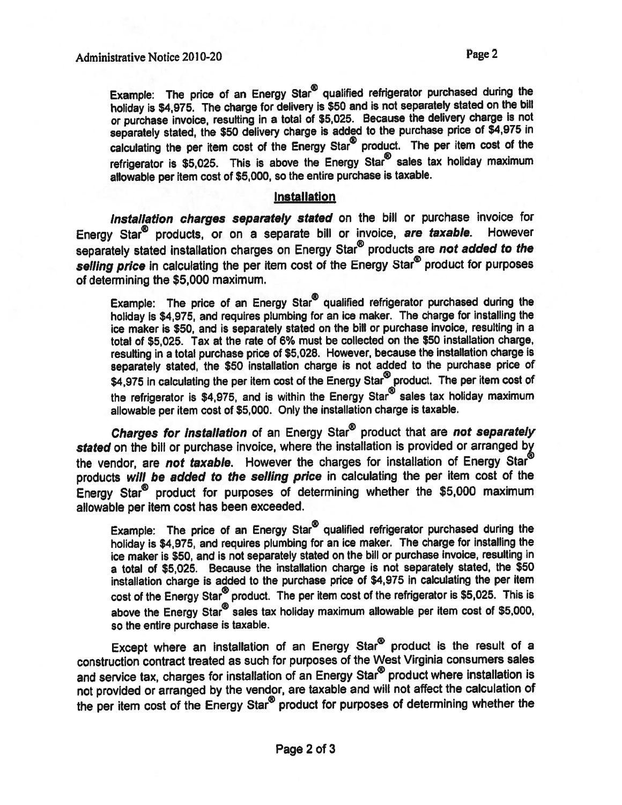Example: The price of an Energy Star<sup>®</sup> qualified refrigerator purchased during the holiday is \$4,975. The charge for delivery is \$50 and is not separately stated on the bill or purchase invoice, resulting in a total of \$5,025. Because the delivery charge is not separately stated, the \$50 delivery charge is added to the purchase price of \$4,975 in calculating the per item cost of the Energy Star® product. The per item cost of the refrigerator is \$5,025. This is above the Energy Star® sales tax holiday maximum allowable per item cost of \$5,000, so the entire purchase is taxable.

## Installation

Installation charges separately stated on the bill or purchase invoice for Energy Star<sup>®</sup> products, or on a separate bill or invoice, are taxable. However separately stated installation charges on Energy Star® products are not added to the selling price in calculating the per item cost of the Energy Star® product for purposes of determining the \$5,000 maximum.

Example: The price of an Energy Star<sup>®</sup> qualified refrigerator purchased during the holiday is \$4,975, and requires plumbing for an ice maker. The charge for installing the ice maker is \$50, and is separately stated on the bill or purchase invoice, resulting in a total of \$5,025. Tax at the rate of 6% must be collected on the \$50 installation charge, resulting in a total purchase price of \$5,028. However, because the installation charge is separately stated, the \$50 installation charge is not added to the purchase price of \$4,975 in calculating the per item cost of the Energy Star® product. The per item cost of the refrigerator is \$4,975, and is within the Energy Star<sup>®</sup> sales tax holiday maximum allowable per item cost of \$5,000. Only the installation charge is taxable.

Charges for Installation of an Energy Star® product that are *not* separately stated on the bill or purchase invoice, where the installation is provided or arranged by the vendor, are *not* taxable. However the charges for installation of Energy Star products will be added to the selling price in calculating the per item cost of the Energy Star® product for purposes of determining whether the \$5,000 maximum allowable per item cost has been exceeded.

Example: The price of an Energy Star<sup>®</sup> qualified refrigerator purchased during the holiday is \$4,975, and requires plumbing for an ice maker. The charge for installing the ice maker is \$50, and is not separately stated on the bill or purchase invoice, resulting in a total of \$5,025. Because the installation charge is not separately stated, the \$50 installation charge is added to the purchase price of \$4,975 in calculating the per item cost of the Energy Star® product. The per item cost of the refrigerator is \$5,025. This is above the Energy Star<sup>®</sup> sales tax holiday maximum allowable per item cost of \$5,000, so the entire purchase is taxable.

Except where an installation of an Energy Star<sup>®</sup> product is the result of a construction contract treated as such for purposes of the West Virginia consumers sales and service tax, charges for installation of an Energy Star® product where installation is not provided or arranged by the vendor, are taxable and will not affect the calculation of the per item cost of the Energy Star® product for purposes of determining whether the